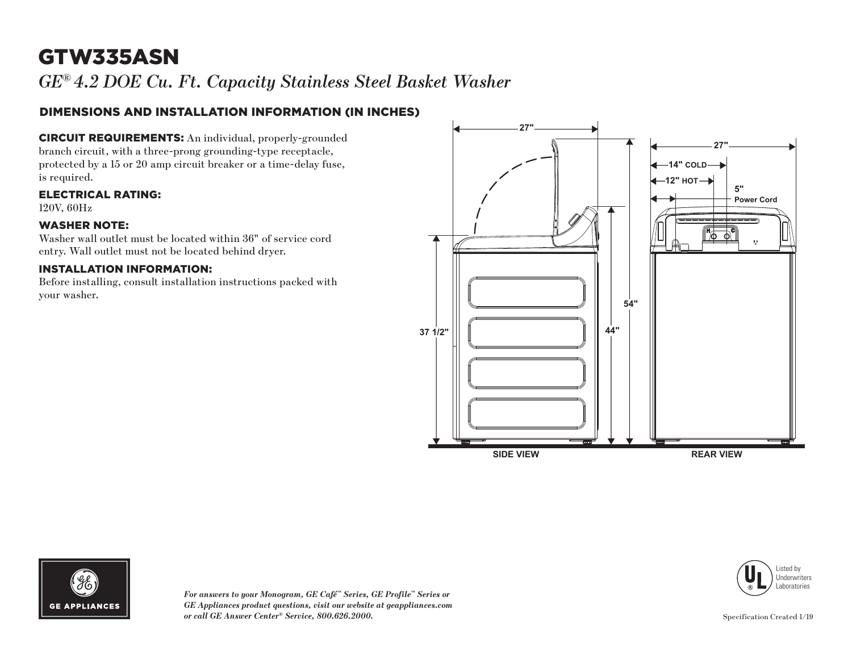# GTW335ASN

*GE® 4.2 DOE Cu. Ft. Capacity Stainless Steel Basket Washer*

### DIMENSIONS AND INSTALLATION INFORMATION (IN INCHES)

CIRCUIT REQUIREMENTS: An individual, properly-grounded branch circuit, with a three-prong grounding-type receptacle, protected by a 15 or 20 amp circuit breaker or a time-delay fuse, is required.

ELECTRICAL RATING:

120V, 60Hz

#### WASHER NOTE:

Washer wall outlet must be located within 36" of service cord entry. Wall outlet must not be located behind dryer.

#### INSTALLATION INFORMATION:

Before installing, consult installation instructions packed with your washer.







*For answers to your Monogram, GE Café™ Series, GE Profile™ Series or GE Appliances product questions, visit our website at geappliances.com or call GE Answer Center® Service, 800.626.2000.*